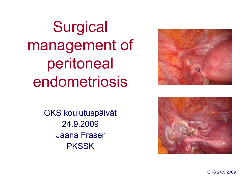

**Surgical** management of peritoneal endometriosis

> GKS koulutuspäivät 24.9.2009 Jaana Fraser **PKSSK**

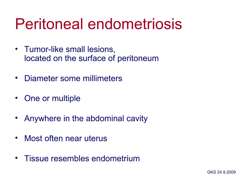### Peritoneal endometriosis

- Tumor-like small lesions, located on the surface of peritoneum
- Diameter some millimeters
- One or multiple
- Anywhere in the abdominal cavity
- Most often near uterus
- Tissue resembles endometrium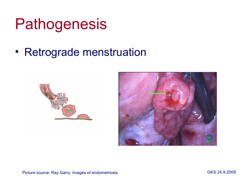### **Pathogenesis**

#### • Retrograde menstruation





Picture source: Ray Garry: Images of endometriosis GKS 24.9.2009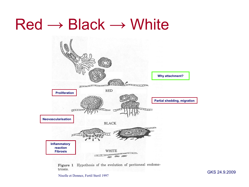#### $Red \rightarrow Black \rightarrow White$



Figure 1 Hypothesis of the evolution of peritoneal endometriosis.

Nisolle et Donnez, Fertil Steril 1997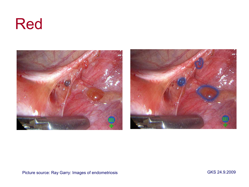#### Red

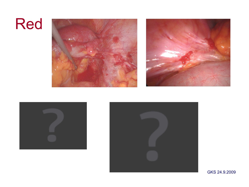#### Red







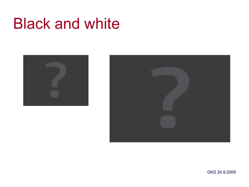#### Black and white



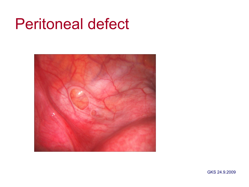#### Peritoneal defect

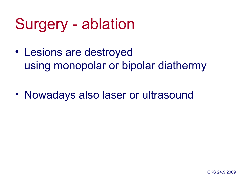# Surgery - ablation

- Lesions are destroyed using monopolar or bipolar diathermy
- Nowadays also laser or ultrasound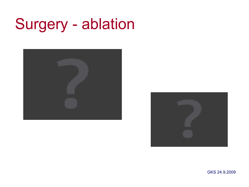# Surgery - ablation



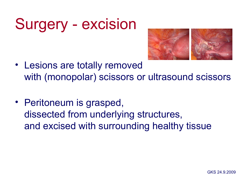# Surgery - excision



- Lesions are totally removed with (monopolar) scissors or ultrasound scissors
- Peritoneum is grasped, dissected from underlying structures, and excised with surrounding healthy tissue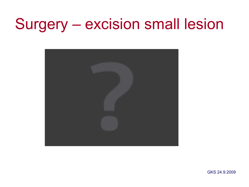# Surgery – excision small lesion

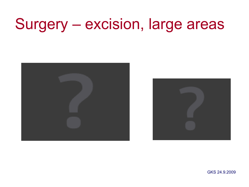# Surgery – excision, large areas

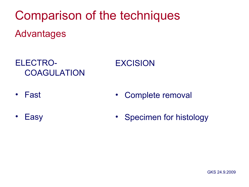Comparison of the techniques Advantages

ELECTRO-**COAGULATION** 

- Fast • Complete removal
- **Easy** • Specimen for histology

EXCISION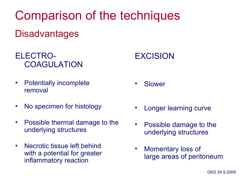Comparison of the techniques

#### **Disadvantages**

#### ELECTRO-**COAGULATION**

- Potentially incomplete removal
- No specimen for histology
- Possible thermal damage to the underlying structures
- Necrotic tissue left behind with a potential for greater inflammatory reaction

#### EXCISION

- **Slower**
- Longer learning curve
- Possible damage to the underlying structures
- Momentary loss of large areas of peritoneum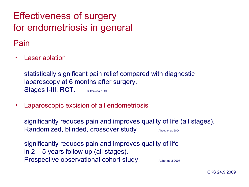#### Effectiveness of surgery for endometriosis in general

Pain

• Laser ablation

statistically significant pain relief compared with diagnostic laparoscopy at 6 months after surgery. Stages I-III. RCT. Sutton et al 1994

• Laparoscopic excision of all endometriosis

significantly reduces pain and improves quality of life (all stages). Randomized, blinded, crossover study Abbott et al. 2004

significantly reduces pain and improves quality of life in 2 – 5 years follow-up (all stages). Prospective observational cohort study. Abbot et al 2003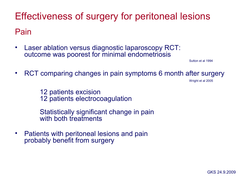Effectiveness of surgery for peritoneal lesions Pain

• Laser ablation versus diagnostic laparoscopy RCT: outcome was poorest for minimal endometriosis

Sutton et al 1994

• RCT comparing changes in pain symptoms 6 month after surgery wright et al 2005

12 patients excision 12 patients electrocoagulation

Statistically significant change in pain with both treatments

• Patients with peritoneal lesions and pain probably benefit from surgery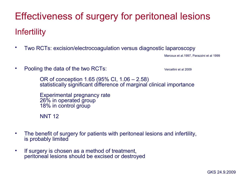#### Effectiveness of surgery for peritoneal lesions Infertility

• Two RCTs: excision/electrocoagulation versus diagnostic laparoscopy

Marcoux et al.1997, Parazzini et al 1999

• Pooling the data of the two RCTs: Vercellini et al 2009

OR of conception 1.65 (95% CI, 1.06 – 2.58) statistically significant difference of marginal clinical importance

Experimental pregnancy rate 26% in operated group 18% in control group

**NNT 12** 

- The benefit of surgery for patients with peritoneal lesions and infertility, is probably limited
- If surgery is chosen as a method of treatment, peritoneal lesions should be excised or destroyed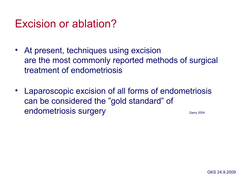#### Excision or ablation?

- At present, techniques using excision are the most commonly reported methods of surgical treatment of endometriosis
- Laparoscopic excision of all forms of endometriosis can be considered the "gold standard" of endometriosis surgery entitled and start of the carry 2004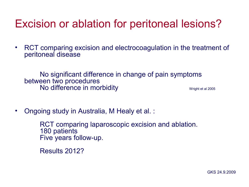#### Excision or ablation for peritoneal lesions?

• RCT comparing excision and electrocoagulation in the treatment of peritoneal disease

No significant difference in change of pain symptoms between two procedures No difference in morbidity and the settlement of the settlement of the Ministerial 2005

• Ongoing study in Australia, M Healy et al. :

RCT comparing laparoscopic excision and ablation. 180 patients Five years follow-up.

Results 2012?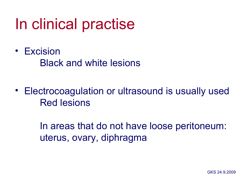## In clinical practise

- Excision Black and white lesions
- Electrocoagulation or ultrasound is usually used Red lesions

In areas that do not have loose peritoneum: uterus, ovary, diphragma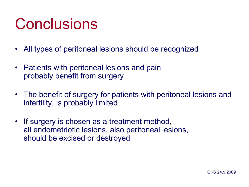## **Conclusions**

- All types of peritoneal lesions should be recognized
- Patients with peritoneal lesions and pain probably benefit from surgery
- The benefit of surgery for patients with peritoneal lesions and infertility, is probably limited
- If surgery is chosen as a treatment method, all endometriotic lesions, also peritoneal lesions, should be excised or destroyed